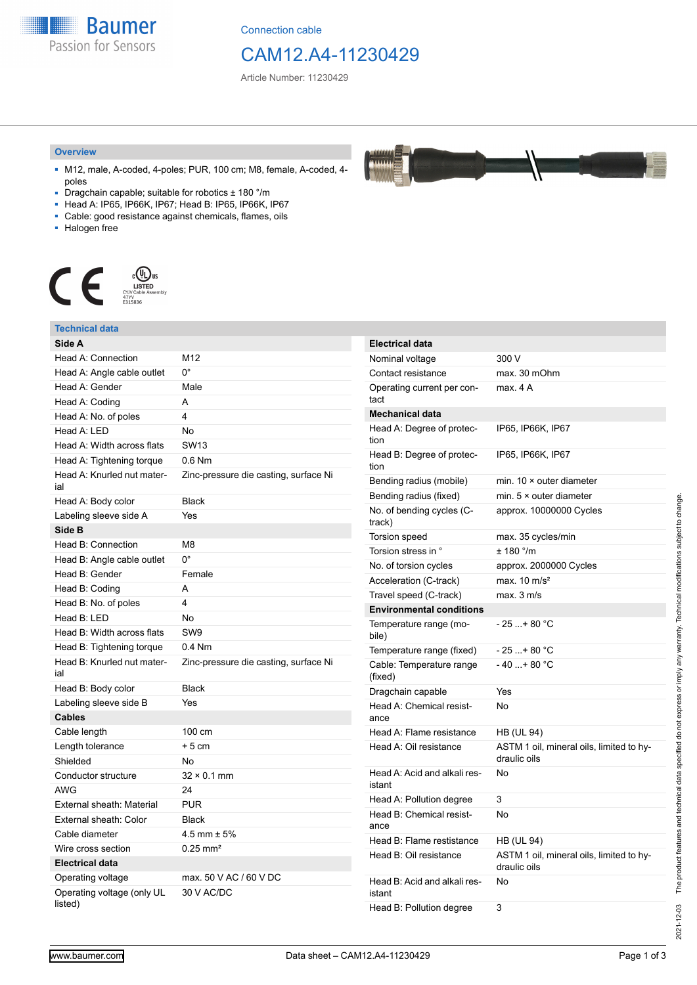**Baumer** Passion for Sensors

Connection cable

## CAM12.A4-11230429

AAAAA **TAMA** 

Article Number: 11230429

#### **Overview**

- M12, male, A-coded, 4-poles; PUR, 100 cm; M8, female, A-coded, 4 poles
- Dragchain capable; suitable for robotics ± 180 °/m
- Head A: IP65, IP66K, IP67; Head B: IP65, IP66K, IP67
- Cable: good resistance against chemicals, flames, oils
- Halogen free



### **Technical data**

| Side A                                |                                       |
|---------------------------------------|---------------------------------------|
| Head A: Connection                    | M12                                   |
| Head A: Angle cable outlet            | $0^{\circ}$                           |
| Head A: Gender                        | Male                                  |
| Head A: Coding                        | A                                     |
| Head A: No. of poles                  | 4                                     |
| Head A: LED                           | <b>No</b>                             |
| Head A: Width across flats            | <b>SW13</b>                           |
| Head A: Tightening torque             | $0.6$ Nm                              |
| Head A: Knurled nut mater-<br>ial     | Zinc-pressure die casting, surface Ni |
| Head A: Body color                    | <b>Black</b>                          |
| Labeling sleeve side A                | Yes                                   |
| Side B                                |                                       |
| Head B: Connection                    | M8                                    |
| Head B: Angle cable outlet            | $0^{\circ}$                           |
| Head B: Gender                        | Female                                |
| Head B: Coding                        | A                                     |
| Head B: No. of poles                  | 4                                     |
| Head B: LED                           | <b>No</b>                             |
| Head B: Width across flats            | SW <sub>9</sub>                       |
| Head B: Tightening torque             | $0.4$ Nm                              |
| Head B: Knurled nut mater-<br>ial     | Zinc-pressure die casting, surface Ni |
| Head B: Body color                    | <b>Black</b>                          |
| Labeling sleeve side B                | Yes                                   |
| <b>Cables</b>                         |                                       |
| Cable length                          | 100 cm                                |
| Length tolerance                      | $+5$ cm                               |
| Shielded                              | No                                    |
| Conductor structure                   | $32 \times 0.1$ mm                    |
| AWG                                   | 24                                    |
| External sheath: Material             | <b>PUR</b>                            |
| External sheath: Color                | <b>Black</b>                          |
| Cable diameter                        | $4.5$ mm $\pm$ 5%                     |
| Wire cross section                    | $0.25 \text{ mm}^2$                   |
| <b>Electrical data</b>                |                                       |
| Operating voltage                     | max. 50 V AC / 60 V DC                |
| Operating voltage (only UL<br>listed) | 30 V AC/DC                            |

| <b>Electrical data</b>                 |                                                          |
|----------------------------------------|----------------------------------------------------------|
| Nominal voltage                        | 300 V                                                    |
| Contact resistance                     | max. 30 mOhm                                             |
| Operating current per con-<br>tact     | max. 4 A                                                 |
| <b>Mechanical data</b>                 |                                                          |
| Head A: Degree of protec-<br>tion      | IP65, IP66K, IP67                                        |
| Head B: Degree of protec-<br>tion      | IP65, IP66K, IP67                                        |
| Bending radius (mobile)                | min. $10 \times$ outer diameter                          |
| Bending radius (fixed)                 | min. $5 \times$ outer diameter                           |
| No. of bending cycles (C-<br>track)    | approx. 10000000 Cycles                                  |
| Torsion speed                          | max. 35 cycles/min                                       |
| Torsion stress in °                    | $± 180$ $^{\circ}$ /m                                    |
| No. of torsion cycles                  | approx. 2000000 Cycles                                   |
| Acceleration (C-track)                 | max. $10 \text{ m/s}^2$                                  |
| Travel speed (C-track)                 | max. 3 m/s                                               |
| <b>Environmental conditions</b>        |                                                          |
| Temperature range (mo-<br>bile)        | - 25 + 80 °C                                             |
| Temperature range (fixed)              | - 25 + 80 °C                                             |
| Cable: Temperature range<br>(fixed)    | $-40+80 °C$                                              |
| Dragchain capable                      | Yes                                                      |
| Head A: Chemical resist-<br>ance       | No                                                       |
| Head A: Flame resistance               | HB (UL 94)                                               |
| Head A: Oil resistance                 | ASTM 1 oil, mineral oils, limited to hy-<br>draulic oils |
| Head A: Acid and alkali res-<br>istant | No                                                       |
| Head A: Pollution degree               | 3                                                        |
| Head B: Chemical resist-<br>ance       | No                                                       |
| Head B: Flame restistance              | HB (UL 94)                                               |
| Head B: Oil resistance                 | ASTM 1 oil, mineral oils, limited to hy-<br>draulic oils |
| Head B: Acid and alkali res-<br>istant | No                                                       |

2021-12-03 The product features and technical data specified do not express or imply any warranty. Technical modifications subject to change.

Head B: Pollution degree 3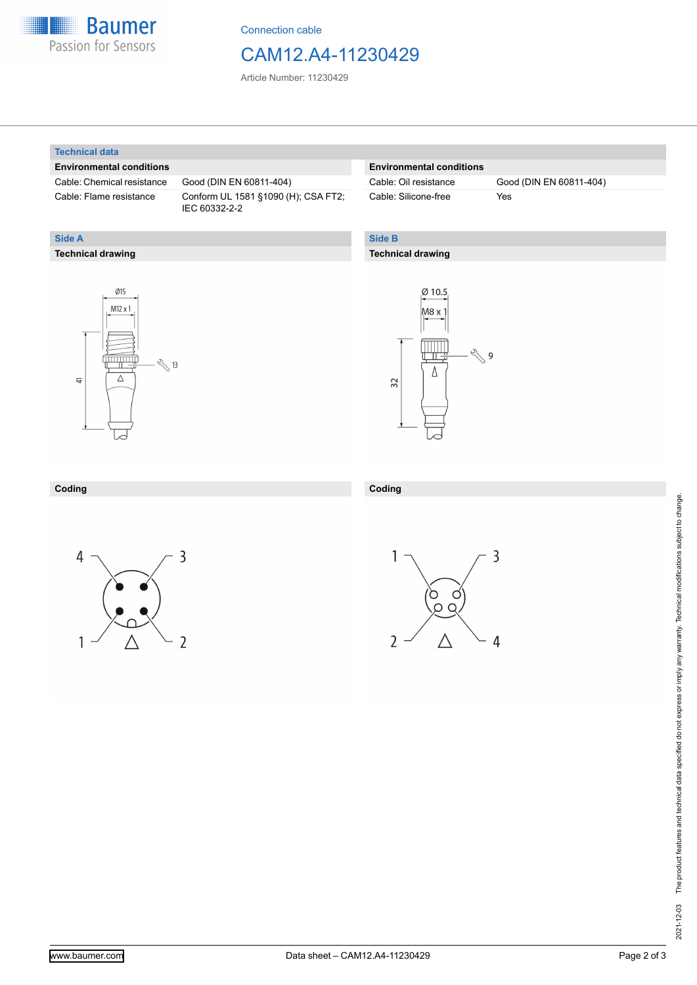

Connection cable

### CAM12.A4-11230429

Article Number: 11230429

#### **Technical data**

**Technical drawing**

**Side A**

#### **Environmental conditions**

Cable: Chemical resistance Good (DIN EN 60811-404)

Cable: Flame resistance Conform UL 1581 §1090 (H); CSA FT2; IEC 60332-2-2

#### **Environmental conditions**

Cable: Silicone-free Yes

Cable: Oil resistance Good (DIN EN 60811-404)

### **Side B**

#### **Technical drawing**





#### **Coding Coding**